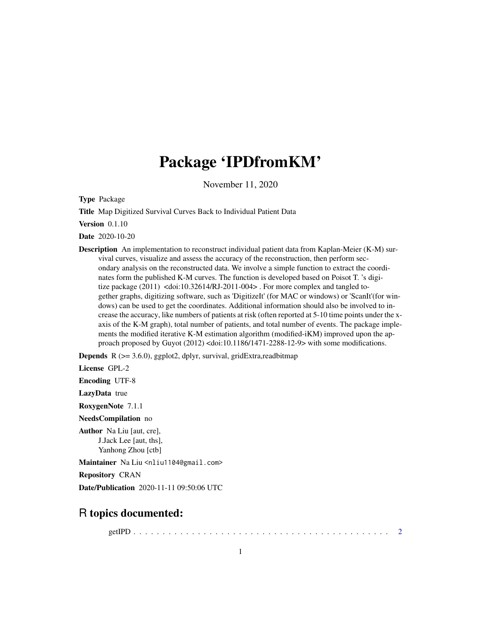## Package 'IPDfromKM'

November 11, 2020

Type Package

Title Map Digitized Survival Curves Back to Individual Patient Data

Version 0.1.10

Date 2020-10-20

Description An implementation to reconstruct individual patient data from Kaplan-Meier (K-M) survival curves, visualize and assess the accuracy of the reconstruction, then perform secondary analysis on the reconstructed data. We involve a simple function to extract the coordinates form the published K-M curves. The function is developed based on Poisot T. 's digitize package (2011) <doi:10.32614/RJ-2011-004>. For more complex and tangled together graphs, digitizing software, such as 'DigitizeIt' (for MAC or windows) or 'ScanIt'(for windows) can be used to get the coordinates. Additional information should also be involved to increase the accuracy, like numbers of patients at risk (often reported at 5-10 time points under the xaxis of the K-M graph), total number of patients, and total number of events. The package implements the modified iterative K-M estimation algorithm (modified-iKM) improved upon the approach proposed by Guyot (2012) <doi:10.1186/1471-2288-12-9> with some modifications.

**Depends** R  $(>= 3.6.0)$ , ggplot2, dplyr, survival, gridExtra, readbitmap

License GPL-2

Encoding UTF-8

LazyData true

RoxygenNote 7.1.1

NeedsCompilation no

Author Na Liu [aut, cre], J.Jack Lee [aut, ths], Yanhong Zhou [ctb]

Maintainer Na Liu <nliu1104@gmail.com>

Repository CRAN

Date/Publication 2020-11-11 09:50:06 UTC

### R topics documented:

getIPD . . . . . . . . . . . . . . . . . . . . . . . . . . . . . . . . . . . . . . . . . . . . [2](#page-1-0)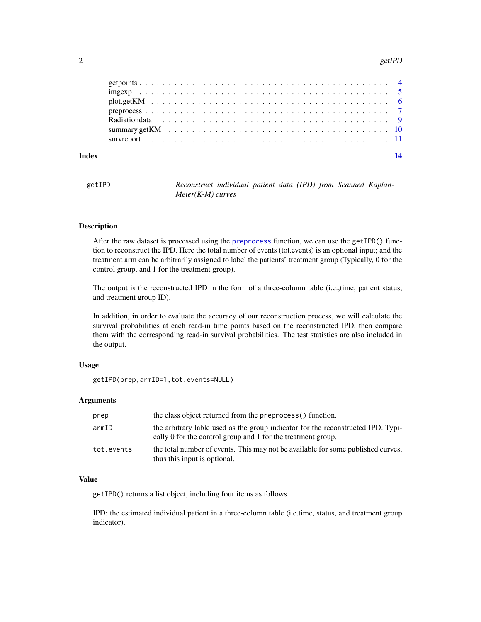#### <span id="page-1-0"></span> $2$  getIPD

| Index | 14 |
|-------|----|
|       |    |
|       |    |
|       |    |
|       |    |
|       |    |
|       |    |
|       |    |

<span id="page-1-1"></span>

| getIPD | Reconstruct individual patient data (IPD) from Scanned Kaplan- |  |  |  |  |
|--------|----------------------------------------------------------------|--|--|--|--|
|        | $Meier(K-M)$ curves                                            |  |  |  |  |

#### Description

After the raw dataset is processed using the [preprocess](#page-6-1) function, we can use the getIPD() function to reconstruct the IPD. Here the total number of events (tot.events) is an optional input; and the treatment arm can be arbitrarily assigned to label the patients' treatment group (Typically, 0 for the control group, and 1 for the treatment group).

The output is the reconstructed IPD in the form of a three-column table (i.e.,time, patient status, and treatment group ID).

In addition, in order to evaluate the accuracy of our reconstruction process, we will calculate the survival probabilities at each read-in time points based on the reconstructed IPD, then compare them with the corresponding read-in survival probabilities. The test statistics are also included in the output.

#### Usage

```
getIPD(prep,armID=1,tot.events=NULL)
```
#### Arguments

| prep       | the class object returned from the preprocess() function.                                                                                        |
|------------|--------------------------------------------------------------------------------------------------------------------------------------------------|
| armID      | the arbitrary lable used as the group indicator for the reconstructed IPD. Typi-<br>cally 0 for the control group and 1 for the treatment group. |
| tot.events | the total number of events. This may not be available for some published curves,<br>thus this input is optional.                                 |

#### Value

getIPD() returns a list object, including four items as follows.

IPD: the estimated individual patient in a three-column table (i.e.time, status, and treatment group indicator).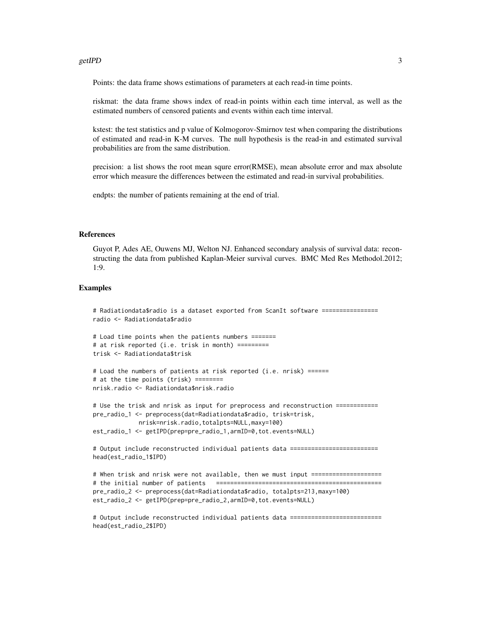#### getIPD 3

Points: the data frame shows estimations of parameters at each read-in time points.

riskmat: the data frame shows index of read-in points within each time interval, as well as the estimated numbers of censored patients and events within each time interval.

kstest: the test statistics and p value of Kolmogorov-Smirnov test when comparing the distributions of estimated and read-in K-M curves. The null hypothesis is the read-in and estimated survival probabilities are from the same distribution.

precision: a list shows the root mean squre error(RMSE), mean absolute error and max absolute error which measure the differences between the estimated and read-in survival probabilities.

endpts: the number of patients remaining at the end of trial.

#### References

Guyot P, Ades AE, Ouwens MJ, Welton NJ. Enhanced secondary analysis of survival data: reconstructing the data from published Kaplan-Meier survival curves. BMC Med Res Methodol.2012; 1:9.

#### Examples

# Radiationdata\$radio is a dataset exported from ScanIt software ================ radio <- Radiationdata\$radio

```
# Load time points when the patients numbers =======
# at risk reported (i.e. trisk in month) =========
trisk <- Radiationdata$trisk
```

```
# Load the numbers of patients at risk reported (i.e. nrisk) ======
# at the time points (trisk) ========
nrisk.radio <- Radiationdata$nrisk.radio
```

```
# Use the trisk and nrisk as input for preprocess and reconstruction ============
pre_radio_1 <- preprocess(dat=Radiationdata$radio, trisk=trisk,
            nrisk=nrisk.radio,totalpts=NULL,maxy=100)
est_radio_1 <- getIPD(prep=pre_radio_1,armID=0,tot.events=NULL)
```
# Output include reconstructed individual patients data ========================= head(est\_radio\_1\$IPD)

```
# When trisk and nrisk were not available, then we must input ====================
# the initial number of patients ===============================================
pre_radio_2 <- preprocess(dat=Radiationdata$radio, totalpts=213,maxy=100)
est_radio_2 <- getIPD(prep=pre_radio_2,armID=0,tot.events=NULL)
```
# Output include reconstructed individual patients data ========================== head(est\_radio\_2\$IPD)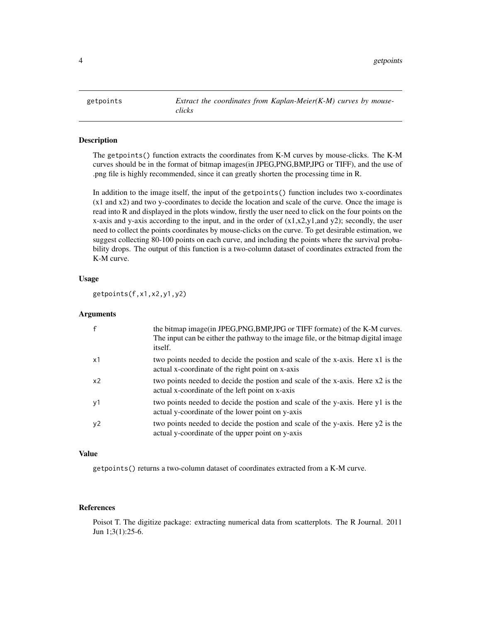<span id="page-3-1"></span><span id="page-3-0"></span>

#### Description

The getpoints() function extracts the coordinates from K-M curves by mouse-clicks. The K-M curves should be in the format of bitmap images(in JPEG,PNG,BMP,JPG or TIFF), and the use of .png file is highly recommended, since it can greatly shorten the processing time in R.

In addition to the image itself, the input of the getpoints() function includes two x-coordinates (x1 and x2) and two y-coordinates to decide the location and scale of the curve. Once the image is read into R and displayed in the plots window, firstly the user need to click on the four points on the x-axis and y-axis according to the input, and in the order of  $(x1,x2,y1, and y2)$ ; secondly, the user need to collect the points coordinates by mouse-clicks on the curve. To get desirable estimation, we suggest collecting 80-100 points on each curve, and including the points where the survival probability drops. The output of this function is a two-column dataset of coordinates extracted from the K-M curve.

#### Usage

getpoints(f,x1,x2,y1,y2)

#### Arguments

|    | the bitmap image (in JPEG, PNG, BMP, JPG or TIFF formate) of the K-M curves.<br>The input can be either the pathway to the image file, or the bitmap digital image<br>itself. |
|----|-------------------------------------------------------------------------------------------------------------------------------------------------------------------------------|
| x1 | two points needed to decide the postion and scale of the x-axis. Here x1 is the<br>actual x-coordinate of the right point on x-axis                                           |
| x2 | two points needed to decide the postion and scale of the x-axis. Here x2 is the<br>actual x-coordinate of the left point on x-axis                                            |
| y1 | two points needed to decide the postion and scale of the y-axis. Here y1 is the<br>actual y-coordinate of the lower point on y-axis                                           |
| y2 | two points needed to decide the postion and scale of the y-axis. Here y2 is the<br>actual y-coordinate of the upper point on y-axis                                           |

#### Value

getpoints() returns a two-column dataset of coordinates extracted from a K-M curve.

#### References

Poisot T. The digitize package: extracting numerical data from scatterplots. The R Journal. 2011 Jun 1;3(1):25-6.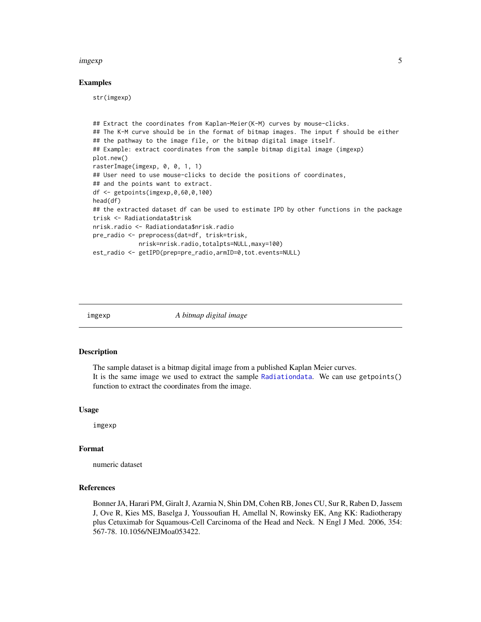#### <span id="page-4-0"></span>imgexp 55

#### Examples

str(imgexp)

```
## Extract the coordinates from Kaplan-Meier(K-M) curves by mouse-clicks.
## The K-M curve should be in the format of bitmap images. The input f should be either
## the pathway to the image file, or the bitmap digital image itself.
## Example: extract coordinates from the sample bitmap digital image (imgexp)
plot.new()
rasterImage(imgexp, 0, 0, 1, 1)
## User need to use mouse-clicks to decide the positions of coordinates,
## and the points want to extract.
df <- getpoints(imgexp,0,60,0,100)
head(df)
## the extracted dataset df can be used to estimate IPD by other functions in the package
trisk <- Radiationdata$trisk
nrisk.radio <- Radiationdata$nrisk.radio
pre_radio <- preprocess(dat=df, trisk=trisk,
             nrisk=nrisk.radio,totalpts=NULL,maxy=100)
est_radio <- getIPD(prep=pre_radio,armID=0,tot.events=NULL)
```
imgexp *A bitmap digital image*

#### Description

The sample dataset is a bitmap digital image from a published Kaplan Meier curves. It is the same image we used to extract the sample [Radiationdata](#page-8-1). We can use getpoints() function to extract the coordinates from the image.

#### Usage

imgexp

#### Format

numeric dataset

#### References

Bonner JA, Harari PM, Giralt J, Azarnia N, Shin DM, Cohen RB, Jones CU, Sur R, Raben D, Jassem J, Ove R, Kies MS, Baselga J, Youssoufian H, Amellal N, Rowinsky EK, Ang KK: Radiotherapy plus Cetuximab for Squamous-Cell Carcinoma of the Head and Neck. N Engl J Med. 2006, 354: 567-78. 10.1056/NEJMoa053422.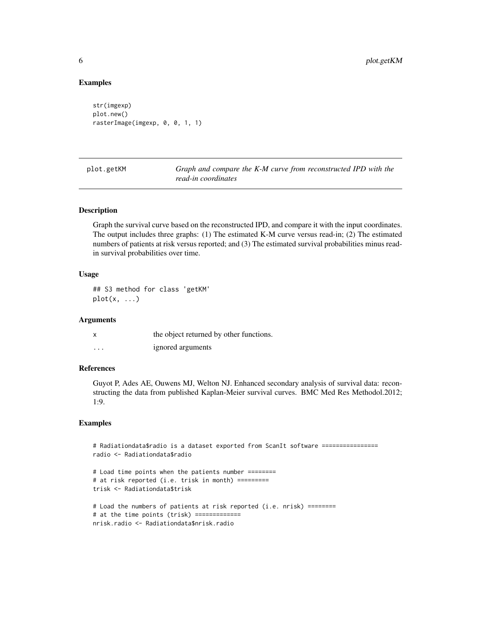#### Examples

```
str(imgexp)
plot.new()
rasterImage(imgexp, 0, 0, 1, 1)
```
plot.getKM *Graph and compare the K-M curve from reconstructed IPD with the read-in coordinates*

#### Description

Graph the survival curve based on the reconstructed IPD, and compare it with the input coordinates. The output includes three graphs: (1) The estimated K-M curve versus read-in; (2) The estimated numbers of patients at risk versus reported; and (3) The estimated survival probabilities minus readin survival probabilities over time.

#### Usage

## S3 method for class 'getKM'  $plot(x, \ldots)$ 

#### Arguments

|   | the object returned by other functions. |
|---|-----------------------------------------|
| . | ignored arguments                       |

#### References

Guyot P, Ades AE, Ouwens MJ, Welton NJ. Enhanced secondary analysis of survival data: reconstructing the data from published Kaplan-Meier survival curves. BMC Med Res Methodol.2012; 1:9.

#### Examples

```
# Radiationdata$radio is a dataset exported from ScanIt software ================
radio <- Radiationdata$radio
# Load time points when the patients number ========
# at risk reported (i.e. trisk in month) =========
trisk <- Radiationdata$trisk
# Load the numbers of patients at risk reported (i.e. nrisk) ========
# at the time points (trisk) =============
nrisk.radio <- Radiationdata$nrisk.radio
```
<span id="page-5-0"></span>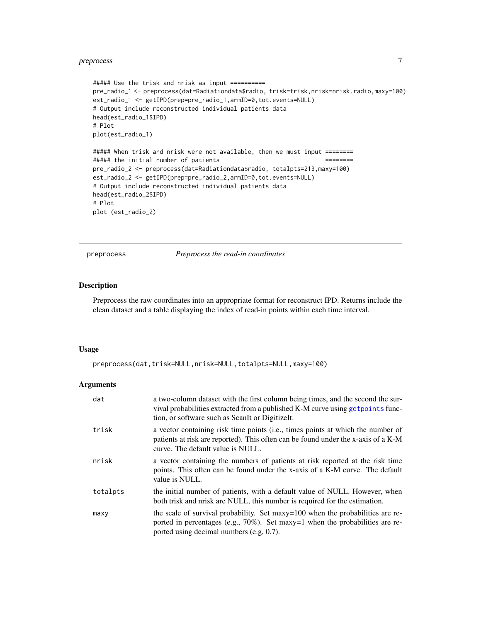#### <span id="page-6-0"></span>preprocess 7

```
##### Use the trisk and nrisk as input ==========
pre_radio_1 <- preprocess(dat=Radiationdata$radio, trisk=trisk,nrisk=nrisk.radio,maxy=100)
est_radio_1 <- getIPD(prep=pre_radio_1,armID=0,tot.events=NULL)
# Output include reconstructed individual patients data
head(est_radio_1$IPD)
# Plot
plot(est_radio_1)
##### When trisk and nrisk were not available, then we must input ========
##### the initial number of patients ========
pre_radio_2 <- preprocess(dat=Radiationdata$radio, totalpts=213,maxy=100)
est_radio_2 <- getIPD(prep=pre_radio_2,armID=0,tot.events=NULL)
# Output include reconstructed individual patients data
head(est_radio_2$IPD)
# Plot
```
plot (est\_radio\_2)

<span id="page-6-1"></span>preprocess *Preprocess the read-in coordinates*

#### Description

Preprocess the raw coordinates into an appropriate format for reconstruct IPD. Returns include the clean dataset and a table displaying the index of read-in points within each time interval.

#### Usage

```
preprocess(dat,trisk=NULL,nrisk=NULL,totalpts=NULL,maxy=100)
```
#### Arguments

| dat      | a two-column dataset with the first column being times, and the second the sur-<br>vival probabilities extracted from a published K-M curve using get points func-<br>tion, or software such as ScanIt or DigitizeIt. |
|----------|-----------------------------------------------------------------------------------------------------------------------------------------------------------------------------------------------------------------------|
| trisk    | a vector containing risk time points (i.e., times points at which the number of<br>patients at risk are reported). This often can be found under the x-axis of a K-M<br>curve. The default value is NULL.             |
| nrisk    | a vector containing the numbers of patients at risk reported at the risk time<br>points. This often can be found under the x-axis of a K-M curve. The default<br>value is NULL.                                       |
| totalpts | the initial number of patients, with a default value of NULL. However, when<br>both trisk and nrisk are NULL, this number is required for the estimation.                                                             |
| maxy     | the scale of survival probability. Set maxy=100 when the probabilities are re-<br>ported in percentages (e.g., $70\%$ ). Set maxy=1 when the probabilities are re-<br>ported using decimal numbers (e.g, 0.7).        |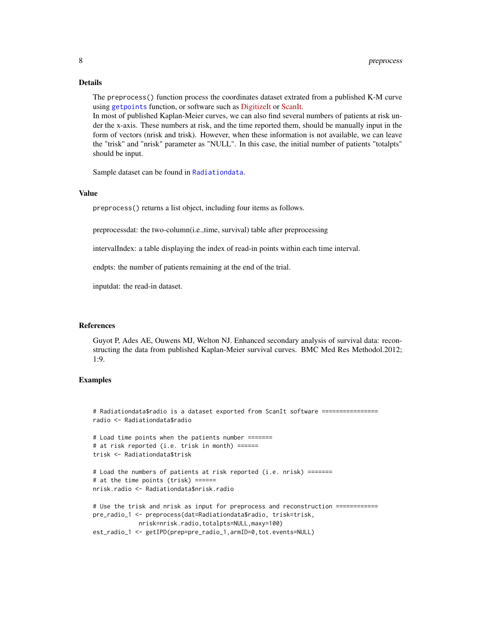#### Details

The preprocess() function process the coordinates dataset extrated from a published K-M curve using [getpoints](#page-3-1) function, or software such as [DigitizeIt](https://www.digitizeit.de) or [ScanIt.](https://www.amsterchem.com/scanit.html)

In most of published Kaplan-Meier curves, we can also find several numbers of patients at risk under the x-axis. These numbers at risk, and the time reported them, should be manually input in the form of vectors (nrisk and trisk). However, when these information is not available, we can leave the "trisk" and "nrisk" parameter as "NULL". In this case, the initial number of patients "totalpts" should be input.

Sample dataset can be found in [Radiationdata](#page-8-1).

#### Value

preprocess() returns a list object, including four items as follows.

preprocessdat: the two-column(i.e.,time, survival) table after preprocessing

intervalIndex: a table displaying the index of read-in points within each time interval.

endpts: the number of patients remaining at the end of the trial.

inputdat: the read-in dataset.

#### References

Guyot P, Ades AE, Ouwens MJ, Welton NJ. Enhanced secondary analysis of survival data: reconstructing the data from published Kaplan-Meier survival curves. BMC Med Res Methodol.2012; 1:9.

#### Examples

```
# Radiationdata$radio is a dataset exported from ScanIt software ================
radio <- Radiationdata$radio
```

```
# Load time points when the patients number =======
# at risk reported (i.e. trisk in month) ======
trisk <- Radiationdata$trisk
```

```
# Load the numbers of patients at risk reported (i.e. nrisk) =======
# at the time points (trisk) ======
nrisk.radio <- Radiationdata$nrisk.radio
```

```
# Use the trisk and nrisk as input for preprocess and reconstruction ============
pre_radio_1 <- preprocess(dat=Radiationdata$radio, trisk=trisk,
            nrisk=nrisk.radio,totalpts=NULL,maxy=100)
est_radio_1 <- getIPD(prep=pre_radio_1,armID=0,tot.events=NULL)
```
<span id="page-7-0"></span>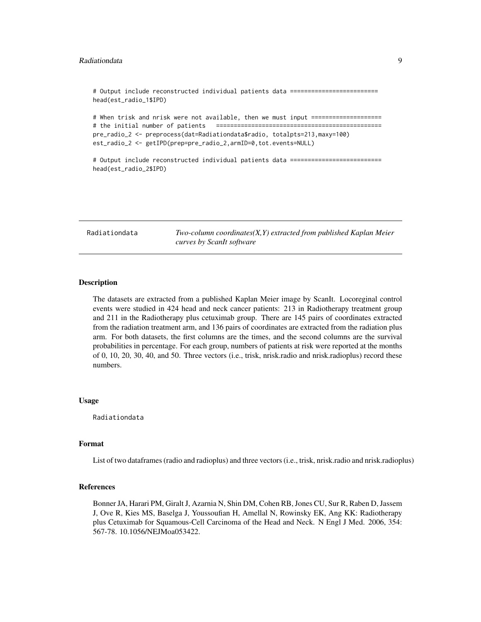```
# Output include reconstructed individual patients data =========================
head(est_radio_1$IPD)
# When trisk and nrisk were not available, then we must input ====================
# the initial number of patients ===============================================
pre_radio_2 <- preprocess(dat=Radiationdata$radio, totalpts=213,maxy=100)
est_radio_2 <- getIPD(prep=pre_radio_2,armID=0,tot.events=NULL)
# Output include reconstructed individual patients data ==========================
head(est_radio_2$IPD)
```
<span id="page-8-1"></span>Radiationdata *Two-column coordinates(X,Y) extracted from published Kaplan Meier curves by ScanIt software*

#### Description

The datasets are extracted from a published Kaplan Meier image by ScanIt. Locoreginal control events were studied in 424 head and neck cancer patients: 213 in Radiotherapy treatment group and 211 in the Radiotherapy plus cetuximab group. There are 145 pairs of coordinates extracted from the radiation treatment arm, and 136 pairs of coordinates are extracted from the radiation plus arm. For both datasets, the first columns are the times, and the second columns are the survival probabilities in percentage. For each group, numbers of patients at risk were reported at the months of 0, 10, 20, 30, 40, and 50. Three vectors (i.e., trisk, nrisk.radio and nrisk.radioplus) record these numbers.

#### Usage

Radiationdata

#### Format

List of two dataframes (radio and radioplus) and three vectors (i.e., trisk, nrisk.radio and nrisk.radioplus)

#### References

Bonner JA, Harari PM, Giralt J, Azarnia N, Shin DM, Cohen RB, Jones CU, Sur R, Raben D, Jassem J, Ove R, Kies MS, Baselga J, Youssoufian H, Amellal N, Rowinsky EK, Ang KK: Radiotherapy plus Cetuximab for Squamous-Cell Carcinoma of the Head and Neck. N Engl J Med. 2006, 354: 567-78. 10.1056/NEJMoa053422.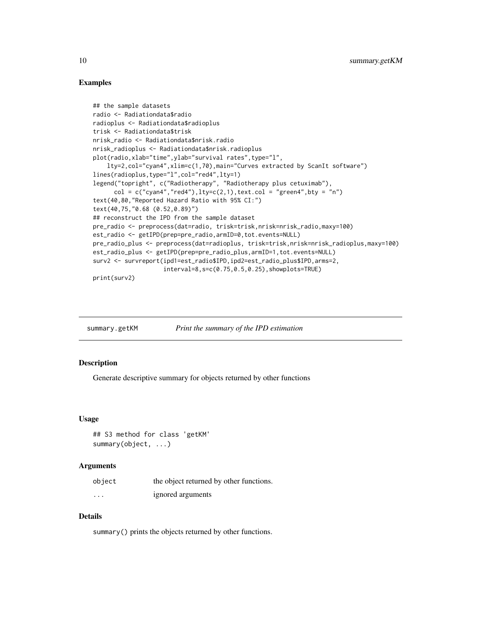#### Examples

```
## the sample datasets
radio <- Radiationdata$radio
radioplus <- Radiationdata$radioplus
trisk <- Radiationdata$trisk
nrisk_radio <- Radiationdata$nrisk.radio
nrisk_radioplus <- Radiationdata$nrisk.radioplus
plot(radio,xlab="time",ylab="survival rates",type="l",
    lty=2,col="cyan4",xlim=c(1,70),main="Curves extracted by ScanIt software")
lines(radioplus,type="l",col="red4",lty=1)
legend("topright", c("Radiotherapy", "Radiotherapy plus cetuximab"),
      col = c("cyan4", "red4"), lty=c(2,1), text,col = "green4", bty = "n")text(40,80,"Reported Hazard Ratio with 95% CI:")
text(40,75,"0.68 (0.52,0.89)")
## reconstruct the IPD from the sample dataset
pre_radio <- preprocess(dat=radio, trisk=trisk,nrisk=nrisk_radio,maxy=100)
est_radio <- getIPD(prep=pre_radio,armID=0,tot.events=NULL)
pre_radio_plus <- preprocess(dat=radioplus, trisk=trisk,nrisk=nrisk_radioplus,maxy=100)
est_radio_plus <- getIPD(prep=pre_radio_plus,armID=1,tot.events=NULL)
surv2 <- survreport(ipd1=est_radio$IPD,ipd2=est_radio_plus$IPD,arms=2,
                    interval=8,s=c(0.75,0.5,0.25),showplots=TRUE)
print(surv2)
```

| summary.getKM | Print the summary of the IPD estimation |  |  |
|---------------|-----------------------------------------|--|--|
|---------------|-----------------------------------------|--|--|

#### Description

Generate descriptive summary for objects returned by other functions

#### Usage

```
## S3 method for class 'getKM'
summary(object, ...)
```
#### Arguments

| object   | the object returned by other functions. |
|----------|-----------------------------------------|
| $\cdots$ | ignored arguments                       |

#### Details

summary() prints the objects returned by other functions.

<span id="page-9-0"></span>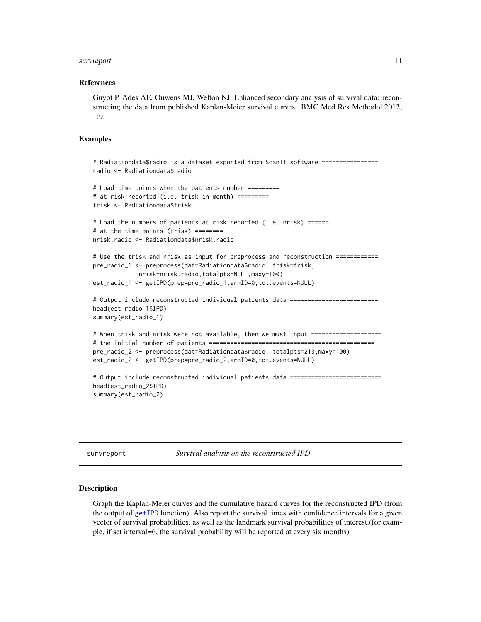#### <span id="page-10-0"></span>survreport that the survey of the state of the state of the state of the state of the state of the state of the state of the state of the state of the state of the state of the state of the state of the state of the state

#### References

Guyot P, Ades AE, Ouwens MJ, Welton NJ. Enhanced secondary analysis of survival data: reconstructing the data from published Kaplan-Meier survival curves. BMC Med Res Methodol.2012; 1:9.

#### Examples

```
# Radiationdata$radio is a dataset exported from ScanIt software ================
radio <- Radiationdata$radio
# Load time points when the patients number =========
# at risk reported (i.e. trisk in month) =========
trisk <- Radiationdata$trisk
# Load the numbers of patients at risk reported (i.e. nrisk) ======
# at the time points (trisk) ========
nrisk.radio <- Radiationdata$nrisk.radio
# Use the trisk and nrisk as input for preprocess and reconstruction ============
pre_radio_1 <- preprocess(dat=Radiationdata$radio, trisk=trisk,
             nrisk=nrisk.radio,totalpts=NULL,maxy=100)
est_radio_1 <- getIPD(prep=pre_radio_1,armID=0,tot.events=NULL)
# Output include reconstructed individual patients data =========================
head(est_radio_1$IPD)
summary(est_radio_1)
# When trisk and nrisk were not available, then we must input ====================
# the initial number of patients ===============================================
pre_radio_2 <- preprocess(dat=Radiationdata$radio, totalpts=213,maxy=100)
est_radio_2 <- getIPD(prep=pre_radio_2,armID=0,tot.events=NULL)
# Output include reconstructed individual patients data ==========================
head(est_radio_2$IPD)
summary(est_radio_2)
```
survreport *Survival analysis on the reconstructed IPD*

#### Description

Graph the Kaplan-Meier curves and the cumulative hazard curves for the reconstructed IPD (from the output of [getIPD](#page-1-1) function). Also report the survival times with confidence intervals for a given vector of survival probabilities, as well as the landmark survival probabilities of interest.(for example, if set interval=6, the survival probability will be reported at every six months)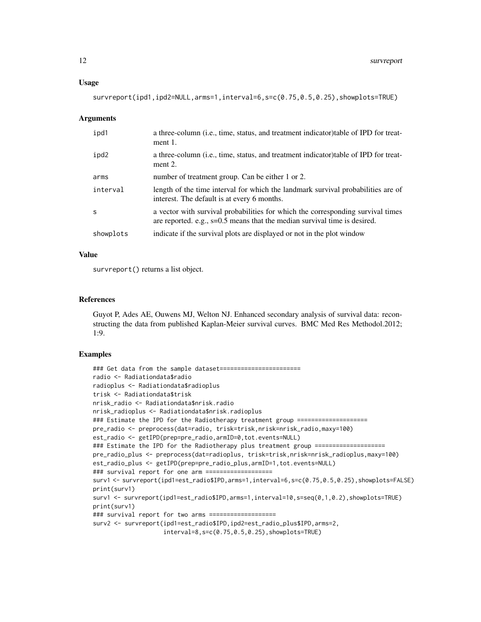survreport(ipd1,ipd2=NULL,arms=1,interval=6,s=c(0.75,0.5,0.25),showplots=TRUE)

#### Arguments

| ipd1         | a three-column (i.e., time, status, and treatment indicator) table of IPD for treat-<br>ment $1$ .                                                             |
|--------------|----------------------------------------------------------------------------------------------------------------------------------------------------------------|
| ipd2         | a three-column ( <i>i.e.</i> , time, status, and treatment indicator) table of IPD for treat-<br>ment 2.                                                       |
| arms         | number of treatment group. Can be either 1 or 2.                                                                                                               |
| interval     | length of the time interval for which the landmark survival probabilities are of<br>interest. The default is at every 6 months.                                |
| <sub>S</sub> | a vector with survival probabilities for which the corresponding survival times<br>are reported. e.g., $s=0.5$ means that the median survival time is desired. |
| showplots    | indicate if the survival plots are displayed or not in the plot window                                                                                         |

#### Value

survreport() returns a list object.

#### References

Guyot P, Ades AE, Ouwens MJ, Welton NJ. Enhanced secondary analysis of survival data: reconstructing the data from published Kaplan-Meier survival curves. BMC Med Res Methodol.2012; 1:9.

#### Examples

```
### Get data from the sample dataset=======================
radio <- Radiationdata$radio
radioplus <- Radiationdata$radioplus
trisk <- Radiationdata$trisk
nrisk_radio <- Radiationdata$nrisk.radio
nrisk_radioplus <- Radiationdata$nrisk.radioplus
### Estimate the IPD for the Radiotherapy treatment group ====================
pre_radio <- preprocess(dat=radio, trisk=trisk,nrisk=nrisk_radio,maxy=100)
est_radio <- getIPD(prep=pre_radio,armID=0,tot.events=NULL)
### Estimate the IPD for the Radiotherapy plus treatment group ====================
pre_radio_plus <- preprocess(dat=radioplus, trisk=trisk,nrisk=nrisk_radioplus,maxy=100)
est_radio_plus <- getIPD(prep=pre_radio_plus,armID=1,tot.events=NULL)
### survival report for one arm ===================
surv1 <- survreport(ipd1=est_radio$IPD,arms=1,interval=6,s=c(0.75,0.5,0.25),showplots=FALSE)
print(surv1)
surv1 <- survreport(ipd1=est_radio$IPD,arms=1,interval=10,s=seq(0,1,0.2),showplots=TRUE)
print(surv1)
### survival report for two arms ===================
surv2 <- survreport(ipd1=est_radio$IPD,ipd2=est_radio_plus$IPD,arms=2,
                    interval=8,s=c(0.75,0.5,0.25),showplots=TRUE)
```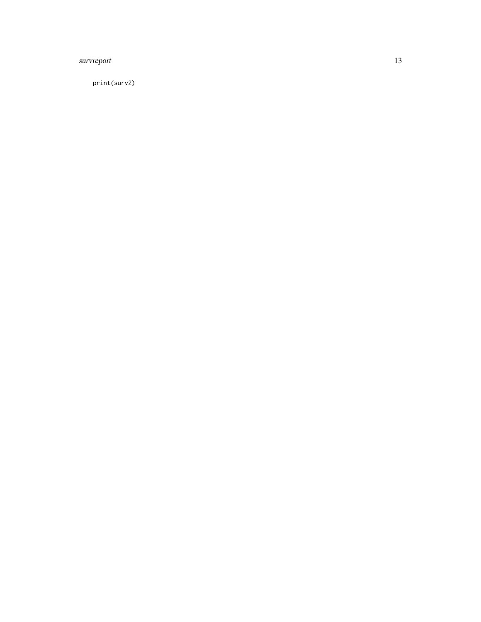#### survreport 13

print(surv2)